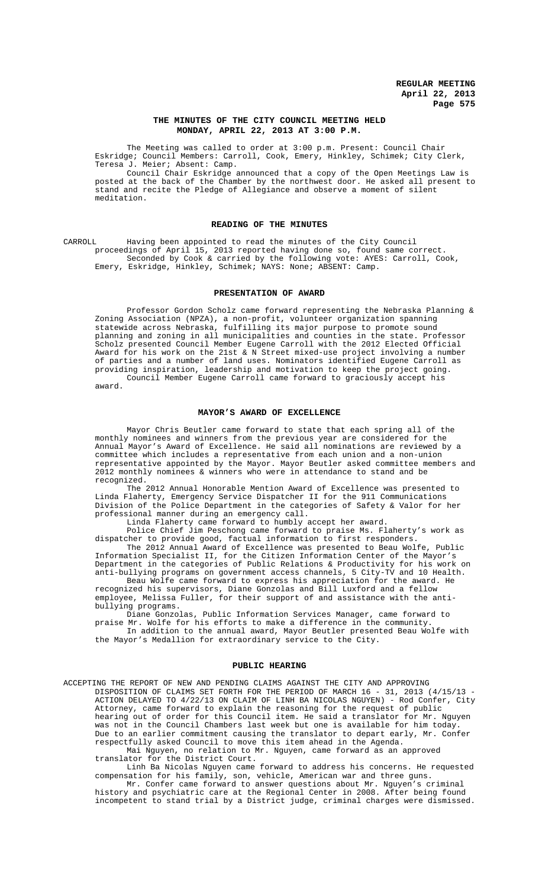### **THE MINUTES OF THE CITY COUNCIL MEETING HELD MONDAY, APRIL 22, 2013 AT 3:00 P.M.**

The Meeting was called to order at 3:00 p.m. Present: Council Chair Eskridge; Council Members: Carroll, Cook, Emery, Hinkley, Schimek; City Clerk, Teresa J. Meier; Absent: Camp.

Council Chair Eskridge announced that a copy of the Open Meetings Law is posted at the back of the Chamber by the northwest door. He asked all present to stand and recite the Pledge of Allegiance and observe a moment of silent meditation.

### **READING OF THE MINUTES**

CARROLL Having been appointed to read the minutes of the City Council proceedings of April 15, 2013 reported having done so, found same correct. Seconded by Cook & carried by the following vote: AYES: Carroll, Cook, Emery, Eskridge, Hinkley, Schimek; NAYS: None; ABSENT: Camp.

#### **PRESENTATION OF AWARD**

Professor Gordon Scholz came forward representing the Nebraska Planning & Zoning Association (NPZA), a non-profit, volunteer organization spanning statewide across Nebraska, fulfilling its major purpose to promote sound planning and zoning in all municipalities and counties in the state. Professor Scholz presented Council Member Eugene Carroll with the 2012 Elected Official Award for his work on the 21st & N Street mixed-use project involving a number of parties and a number of land uses. Nominators identified Eugene Carroll as providing inspiration, leadership and motivation to keep the project going.<br>Council Member Eugene Carroll came forward to graciously accept his Council Member Eugene Carroll came forward to graciously accept award.

#### **MAYOR'S AWARD OF EXCELLENCE**

Mayor Chris Beutler came forward to state that each spring all of the monthly nominees and winners from the previous year are considered for the Annual Mayor's Award of Excellence. He said all nominations are reviewed by a committee which includes a representative from each union and a non-union representative appointed by the Mayor. Mayor Beutler asked committee members and 2012 monthly nominees & winners who were in attendance to stand and be recognized.

The 2012 Annual Honorable Mention Award of Excellence was presented to Linda Flaherty, Emergency Service Dispatcher II for the 911 Communications Division of the Police Department in the categories of Safety & Valor for her professional manner during an emergency call.

Linda Flaherty came forward to humbly accept her award.

Police Chief Jim Peschong came forward to praise Ms. Flaherty's work as dispatcher to provide good, factual information to first responders.

The 2012 Annual Award of Excellence was presented to Beau Wolfe, Public Information Specialist II, for the Citizen Information Center of the Mayor's Department in the categories of Public Relations & Productivity for his work on anti-bullying programs on government access channels, 5 City-TV and 10 Health.

Beau Wolfe came forward to express his appreciation for the award. He recognized his supervisors, Diane Gonzolas and Bill Luxford and a fellow employee, Melissa Fuller, for their support of and assistance with the antibullying programs.

Diane Gonzolas, Public Information Services Manager, came forward to praise Mr. Wolfe for his efforts to make a difference in the community.

In addition to the annual award, Mayor Beutler presented Beau Wolfe with the Mayor's Medallion for extraordinary service to the City.

#### **PUBLIC HEARING**

ACCEPTING THE REPORT OF NEW AND PENDING CLAIMS AGAINST THE CITY AND APPROVING DISPOSITION OF CLAIMS SET FORTH FOR THE PERIOD OF MARCH 16 - 31, 2013 (4/15/13 - ACTION DELAYED TO 4/22/13 ON CLAIM OF LINH BA NICOLAS NGUYEN) - Rod Confer, City Attorney, came forward to explain the reasoning for the request of public hearing out of order for this Council item. He said a translator for Mr. Nguyen was not in the Council Chambers last week but one is available for him today. Due to an earlier commitment causing the translator to depart early, Mr. Confer respectfully asked Council to move this item ahead in the Agenda.

Mai Nguyen, no relation to Mr. Nguyen, came forward as an approved translator for the District Court.

Linh Ba Nicolas Nguyen came forward to address his concerns. He requested compensation for his family, son, vehicle, American war and three guns.

Mr. Confer came forward to answer questions about Mr. Nguyen's criminal history and psychiatric care at the Regional Center in 2008. After being found incompetent to stand trial by a District judge, criminal charges were dismissed.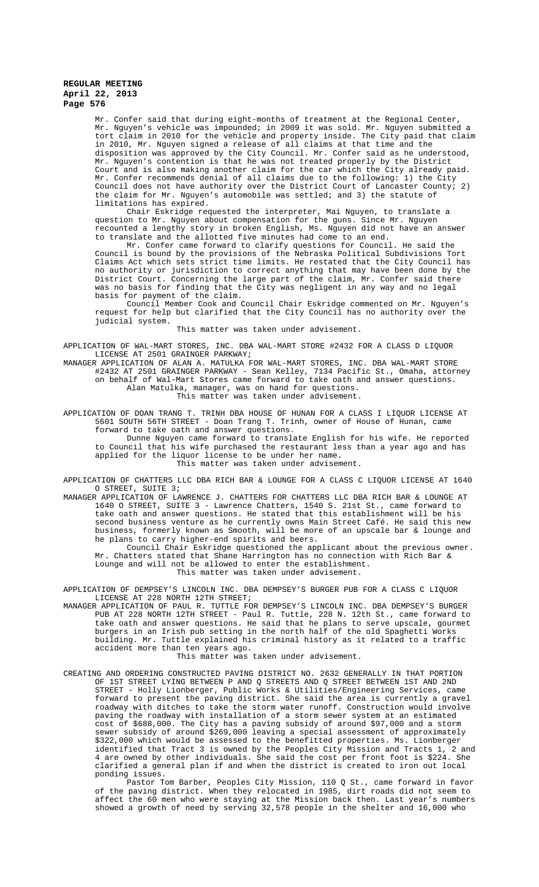Mr. Confer said that during eight-months of treatment at the Regional Center, Mr. Nguyen's vehicle was impounded; in 2009 it was sold. Mr. Nguyen submitted a tort claim in 2010 for the vehicle and property inside. The City paid that claim in 2010, Mr. Nguyen signed a release of all claims at that time and the disposition was approved by the City Council. Mr. Confer said as he understood, Mr. Nguyen's contention is that he was not treated properly by the District Court and is also making another claim for the car which the City already paid. Mr. Confer recommends denial of all claims due to the following: 1) the City Council does not have authority over the District Court of Lancaster County; 2) the claim for Mr. Nguyen's automobile was settled; and 3) the statute of limitations has expired.

Chair Eskridge requested the interpreter, Mai Nguyen, to translate a question to Mr. Nguyen about compensation for the guns. Since Mr. Nguyen recounted a lengthy story in broken English, Ms. Nguyen did not have an answer to translate and the allotted five minutes had come to an end.

Mr. Confer came forward to clarify questions for Council. He said the Council is bound by the provisions of the Nebraska Political Subdivisions Tort Claims Act which sets strict time limits. He restated that the City Council has no authority or jurisdiction to correct anything that may have been done by the District Court. Concerning the large part of the claim, Mr. Confer said there was no basis for finding that the City was negligent in any way and no legal basis for payment of the claim.

Council Member Cook and Council Chair Eskridge commented on Mr. Nguyen's request for help but clarified that the City Council has no authority over the judicial system.

This matter was taken under advisement.

APPLICATION OF WAL-MART STORES, INC. DBA WAL-MART STORE #2432 FOR A CLASS D LIQUOR LICENSE AT 2501 GRAINGER PARKWAY;

MANAGER APPLICATION OF ALAN A. MATULKA FOR WAL-MART STORES, INC. DBA WAL-MART STORE #2432 AT 2501 GRAINGER PARKWAY - Sean Kelley, 7134 Pacific St., Omaha, attorney on behalf of Wal-Mart Stores came forward to take oath and answer questions. Alan Matulka, manager, was on hand for questions. This matter was taken under advisement.

APPLICATION OF DOAN TRANG T. TRINH DBA HOUSE OF HUNAN FOR A CLASS I LIQUOR LICENSE AT 5601 SOUTH 56TH STREET - Doan Trang T. Trinh, owner of House of Hunan, came forward to take oath and answer questions. Dunne Nguyen came forward to translate English for his wife. He reported

to Council that his wife purchased the restaurant less than a year ago and has applied for the liquor license to be under her name. This matter was taken under advisement.

APPLICATION OF CHATTERS LLC DBA RICH BAR & LOUNGE FOR A CLASS C LIQUOR LICENSE AT 1640 O STREET, SUITE 3;

MANAGER APPLICATION OF LAWRENCE J. CHATTERS FOR CHATTERS LLC DBA RICH BAR & LOUNGE AT 1640 O STREET, SUITE 3 - Lawrence Chatters, 1540 S. 21st St., came forward to take oath and answer questions. He stated that this establishment will be his second business venture as he currently owns Main Street Café. He said this new business, formerly known as Smooth, will be more of an upscale bar & lounge and he plans to carry higher-end spirits and beers.

Council Chair Eskridge questioned the applicant about the previous owner. Mr. Chatters stated that Shane Harrington has no connection with Rich Bar & Lounge and will not be allowed to enter the establishment. This matter was taken under advisement.

APPLICATION OF DEMPSEY'S LINCOLN INC. DBA DEMPSEY'S BURGER PUB FOR A CLASS C LIQUOR LICENSE AT 228 NORTH 12TH STREET;

MANAGER APPLICATION OF PAUL R. TUTTLE FOR DEMPSEY'S LINCOLN INC. DBA DEMPSEY'S BURGER PUB AT 228 NORTH 12TH STREET - Paul R. Tuttle, 228 N. 12th St., came forward to take oath and answer questions. He said that he plans to serve upscale, gourmet burgers in an Irish pub setting in the north half of the old Spaghetti Works building. Mr. Tuttle explained his criminal history as it related to a traffic accident more than ten years ago.

# This matter was taken under advisement.

CREATING AND ORDERING CONSTRUCTED PAVING DISTRICT NO. 2632 GENERALLY IN THAT PORTION OF 1ST STREET LYING BETWEEN P AND Q STREETS AND Q STREET BETWEEN 1ST AND 2ND STREET - Holly Lionberger, Public Works & Utilities/Engineering Services, came forward to present the paving district. She said the area is currently a gravel roadway with ditches to take the storm water runoff. Construction would involve paving the roadway with installation of a storm sewer system at an estimated cost of \$688,000. The City has a paving subsidy of around \$97,000 and a storm sewer subsidy of around \$269,000 leaving a special assessment of approximately \$322,000 which would be assessed to the benefitted properties. Ms. Lionberger identified that Tract 3 is owned by the Peoples City Mission and Tracts 1, 2 and 4 are owned by other individuals. She said the cost per front foot is \$224. She clarified a general plan if and when the district is created to iron out local ponding issues.

Pastor Tom Barber, Peoples City Mission, 110 Q St., came forward in favor of the paving district. When they relocated in 1985, dirt roads did not seem to affect the 60 men who were staying at the Mission back then. Last year's numbers showed a growth of need by serving 32,578 people in the shelter and 16,000 who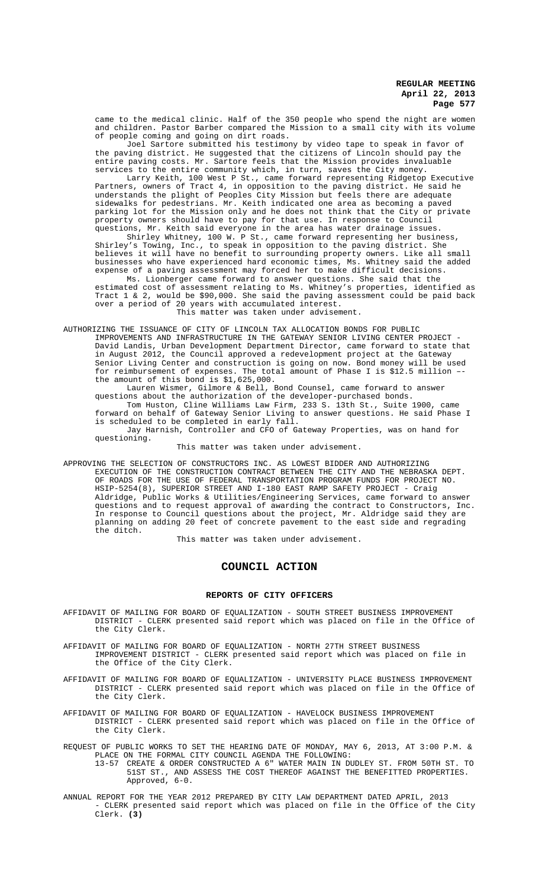came to the medical clinic. Half of the 350 people who spend the night are women and children. Pastor Barber compared the Mission to a small city with its volume of people coming and going on dirt roads.

Joel Sartore submitted his testimony by video tape to speak in favor of the paving district. He suggested that the citizens of Lincoln should pay the entire paving costs. Mr. Sartore feels that the Mission provides invaluable services to the entire community which, in turn, saves the City money.

Larry Keith, 100 West P St., came forward representing Ridgetop Executive Partners, owners of Tract 4, in opposition to the paving district. He said he understands the plight of Peoples City Mission but feels there are adequate sidewalks for pedestrians. Mr. Keith indicated one area as becoming a paved parking lot for the Mission only and he does not think that the City or private property owners should have to pay for that use. In response to Council questions, Mr. Keith said everyone in the area has water drainage issues.

Shirley Whitney, 100 W. P St., came forward representing her business, Shirley's Towing, Inc., to speak in opposition to the paving district. She believes it will have no benefit to surrounding property owners. Like all small businesses who have experienced hard economic times, Ms. Whitney said the added expense of a paving assessment may forced her to make difficult decisions.

Ms. Lionberger came forward to answer questions. She said that the estimated cost of assessment relating to Ms. Whitney's properties, identified as Tract 1 & 2, would be \$90,000. She said the paving assessment could be paid back over a period of 20 years with accumulated interest. This matter was taken under advisement.

AUTHORIZING THE ISSUANCE OF CITY OF LINCOLN TAX ALLOCATION BONDS FOR PUBLIC IMPROVEMENTS AND INFRASTRUCTURE IN THE GATEWAY SENIOR LIVING CENTER PROJECT - David Landis, Urban Development Department Director, came forward to state that in August 2012, the Council approved a redevelopment project at the Gateway Senior Living Center and construction is going on now. Bond money will be used for reimbursement of expenses. The total amount of Phase I is \$12.5 million – the amount of this bond is \$1,625,000.

Lauren Wismer, Gilmore & Bell, Bond Counsel, came forward to answer questions about the authorization of the developer-purchased bonds. Tom Huston, Cline Williams Law Firm, 233 S. 13th St., Suite 1900, came forward on behalf of Gateway Senior Living to answer questions. He said Phase I is scheduled to be completed in early fall.

Jay Harnish, Controller and CFO of Gateway Properties, was on hand for questioning.

This matter was taken under advisement.

APPROVING THE SELECTION OF CONSTRUCTORS INC. AS LOWEST BIDDER AND AUTHORIZING EXECUTION OF THE CONSTRUCTION CONTRACT BETWEEN THE CITY AND THE NEBRASKA DEPT. OF ROADS FOR THE USE OF FEDERAL TRANSPORTATION PROGRAM FUNDS FOR PROJECT NO. HSIP-5254(8), SUPERIOR STREET AND I-180 EAST RAMP SAFETY PROJECT - Craig Aldridge, Public Works & Utilities/Engineering Services, came forward to answer questions and to request approval of awarding the contract to Constructors, Inc. In response to Council questions about the project, Mr. Aldridge said they are planning on adding 20 feet of concrete pavement to the east side and regrading the ditch.

This matter was taken under advisement.

# **COUNCIL ACTION**

### **REPORTS OF CITY OFFICERS**

AFFIDAVIT OF MAILING FOR BOARD OF EQUALIZATION - SOUTH STREET BUSINESS IMPROVEMENT DISTRICT - CLERK presented said report which was placed on file in the Office of the City Clerk.

AFFIDAVIT OF MAILING FOR BOARD OF EQUALIZATION - NORTH 27TH STREET BUSINESS IMPROVEMENT DISTRICT - CLERK presented said report which was placed on file in the Office of the City Clerk.

AFFIDAVIT OF MAILING FOR BOARD OF EQUALIZATION - UNIVERSITY PLACE BUSINESS IMPROVEMENT DISTRICT - CLERK presented said report which was placed on file in the Office of the City Clerk.

AFFIDAVIT OF MAILING FOR BOARD OF EQUALIZATION - HAVELOCK BUSINESS IMPROVEMENT DISTRICT - CLERK presented said report which was placed on file in the Office of the City Clerk.

- REQUEST OF PUBLIC WORKS TO SET THE HEARING DATE OF MONDAY, MAY 6, 2013, AT 3:00 P.M. & PLACE ON THE FORMAL CITY COUNCIL AGENDA THE FOLLOWING:
	- 13-57 CREATE & ORDER CONSTRUCTED A 6" WATER MAIN IN DUDLEY ST. FROM 50TH ST. TO 51ST ST., AND ASSESS THE COST THEREOF AGAINST THE BENEFITTED PROPERTIES. Approved, 6-0.
- ANNUAL REPORT FOR THE YEAR 2012 PREPARED BY CITY LAW DEPARTMENT DATED APRIL, 2013 - CLERK presented said report which was placed on file in the Office of the City Clerk. **(3)**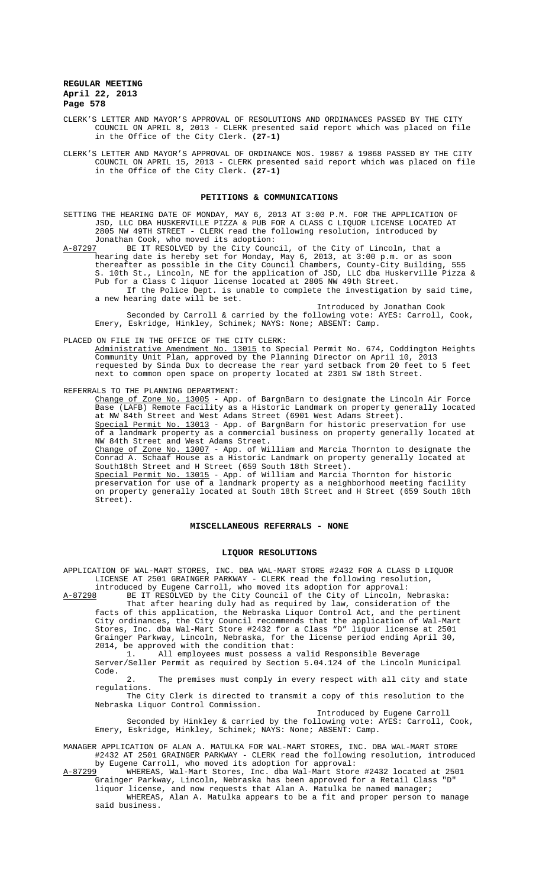- CLERK'S LETTER AND MAYOR'S APPROVAL OF RESOLUTIONS AND ORDINANCES PASSED BY THE CITY COUNCIL ON APRIL 8, 2013 - CLERK presented said report which was placed on file in the Office of the City Clerk. **(27-1)**
- CLERK'S LETTER AND MAYOR'S APPROVAL OF ORDINANCE NOS. 19867 & 19868 PASSED BY THE CITY COUNCIL ON APRIL 15, 2013 - CLERK presented said report which was placed on file in the Office of the City Clerk. **(27-1)**

#### **PETITIONS & COMMUNICATIONS**

SETTING THE HEARING DATE OF MONDAY, MAY 6, 2013 AT 3:00 P.M. FOR THE APPLICATION OF JSD, LLC DBA HUSKERVILLE PIZZA & PUB FOR A CLASS C LIQUOR LICENSE LOCATED AT 2805 NW 49TH STREET - CLERK read the following resolution, introduced by Jonathan Cook, who moved its adoption:<br>A-87297 BE IT RESOLVED by the City Counc

BE IT RESOLVED by the City Council, of the City of Lincoln, that a hearing date is hereby set for Monday, May 6, 2013, at 3:00 p.m. or as soon thereafter as possible in the City Council Chambers, County-City Building, 555 S. 10th St., Lincoln, NE for the application of JSD, LLC dba Huskerville Pizza & Pub for a Class C liquor license located at 2805 NW 49th Street. If the Police Dept. is unable to complete the investigation by said time, a new hearing date will be set.

Introduced by Jonathan Cook Seconded by Carroll & carried by the following vote: AYES: Carroll, Cook, Emery, Eskridge, Hinkley, Schimek; NAYS: None; ABSENT: Camp.

PLACED ON FILE IN THE OFFICE OF THE CITY CLERK: Administrative Amendment No. 13015 to Special Permit No. 674, Coddington Heights Community Unit Plan, approved by the Planning Director on April 10, 2013 requested by Sinda Dux to decrease the rear yard setback from 20 feet to 5 feet

next to common open space on property located at 2301 SW 18th Street.

REFERRALS TO THE PLANNING DEPARTMENT:

Change of Zone No. 13005 - App. of BargnBarn to designate the Lincoln Air Force<br>Base (LAFB) Remote Facility as a Historic Landmark on property generally located (LAFB) Remote Facility as a Historic Landmark on property generally located at NW 84th Street and West Adams Street (6901 West Adams Street). Special Permit No. 13013 - App. of BargnBarn for historic preservation for use of a landmark property as a commercial business on property generally located at NW 84th Street and West Adams Street. Change of Zone No. 13007 - App. of William and Marcia Thornton to designate the Conrad A. Schaaf House as a Historic Landmark on property generally located at South18th Street and H Street (659 South 18th Street). Special Permit No. 13015 - App. of William and Marcia Thornton for historic preservation for use of a landmark property as a neighborhood meeting facility on property generally located at South 18th Street and H Street (659 South 18th Street).

### **MISCELLANEOUS REFERRALS - NONE**

#### **LIQUOR RESOLUTIONS**

APPLICATION OF WAL-MART STORES, INC. DBA WAL-MART STORE #2432 FOR A CLASS D LIQUOR LICENSE AT 2501 GRAINGER PARKWAY - CLERK read the following resolution, introduced by Eugene Carroll, who moved its adoption for approval:

A-87298 BE IT RESOLVED by the City Council of the City of Lincoln, Nebraska: That after hearing duly had as required by law, consideration of the facts of this application, the Nebraska Liquor Control Act, and the pertinent City ordinances, the City Council recommends that the application of Wal-Mart Stores, Inc. dba Wal-Mart Store #2432 for a Class "D" liquor license at 2501 Grainger Parkway, Lincoln, Nebraska, for the license period ending April 30, 2014, be approved with the condition that:

1. All employees must possess a valid Responsible Beverage Server/Seller Permit as required by Section 5.04.124 of the Lincoln Municipal Code.

2. The premises must comply in every respect with all city and state regulations.

The City Clerk is directed to transmit a copy of this resolution to the Nebraska Liquor Control Commission.

Introduced by Eugene Carroll

Seconded by Hinkley & carried by the following vote: AYES: Carroll, Cook, Emery, Eskridge, Hinkley, Schimek; NAYS: None; ABSENT: Camp.

MANAGER APPLICATION OF ALAN A. MATULKA FOR WAL-MART STORES, INC. DBA WAL-MART STORE #2432 AT 2501 GRAINGER PARKWAY - CLERK read the following resolution, introduced by Eugene Carroll, who moved its adoption for approval:

A-87299 WHEREAS, Wal-Mart Stores, Inc. dba Wal-Mart Store #2432 located at 2501 Grainger Parkway, Lincoln, Nebraska has been approved for a Retail Class "D" liquor license, and now requests that Alan A. Matulka be named manager;

WHEREAS, Alan A. Matulka appears to be a fit and proper person to manage said business.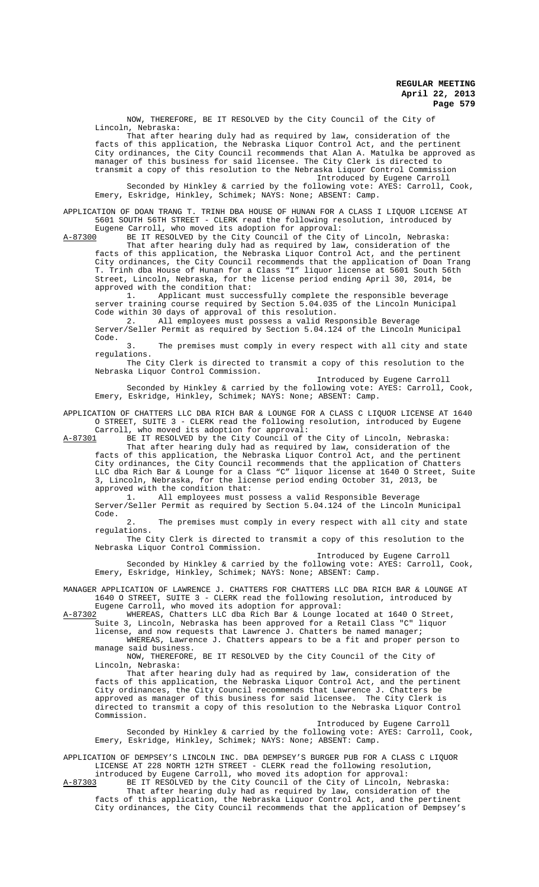NOW, THEREFORE, BE IT RESOLVED by the City Council of the City of Lincoln, Nebraska:

That after hearing duly had as required by law, consideration of the facts of this application, the Nebraska Liquor Control Act, and the pertinent City ordinances, the City Council recommends that Alan A. Matulka be approved as manager of this business for said licensee. The City Clerk is directed to transmit a copy of this resolution to the Nebraska Liquor Control Commission Introduced by Eugene Carroll

Seconded by Hinkley & carried by the following vote: AYES: Carroll, Cook, Emery, Eskridge, Hinkley, Schimek; NAYS: None; ABSENT: Camp.

APPLICATION OF DOAN TRANG T. TRINH DBA HOUSE OF HUNAN FOR A CLASS I LIQUOR LICENSE AT 5601 SOUTH 56TH STREET - CLERK read the following resolution, introduced by Eugene Carroll, who moved its adoption for approval:

A-87300 BE IT RESOLVED by the City Council of the City of Lincoln, Nebraska: That after hearing duly had as required by law, consideration of the facts of this application, the Nebraska Liquor Control Act, and the pertinent City ordinances, the City Council recommends that the application of Doan Trang T. Trinh dba House of Hunan for a Class "I" liquor license at 5601 South 56th Street, Lincoln, Nebraska, for the license period ending April 30, 2014, be approved with the condition that:

1. Applicant must successfully complete the responsible beverage server training course required by Section 5.04.035 of the Lincoln Municipal Code within 30 days of approval of this resolution.

2. All employees must possess a valid Responsible Beverage Server/Seller Permit as required by Section 5.04.124 of the Lincoln Municipal Code.

3. The premises must comply in every respect with all city and state regulations.

The City Clerk is directed to transmit a copy of this resolution to the Nebraska Liquor Control Commission.

Introduced by Eugene Carroll

Seconded by Hinkley & carried by the following vote: AYES: Carroll, Cook, Emery, Eskridge, Hinkley, Schimek; NAYS: None; ABSENT: Camp.

APPLICATION OF CHATTERS LLC DBA RICH BAR & LOUNGE FOR A CLASS C LIQUOR LICENSE AT 1640 O STREET, SUITE 3 - CLERK read the following resolution, introduced by Eugene Carroll, who moved its adoption for approval:

A-87301 BE IT RESOLVED by the City Council of the City of Lincoln, Nebraska:

That after hearing duly had as required by law, consideration of the facts of this application, the Nebraska Liquor Control Act, and the pertinent City ordinances, the City Council recommends that the application of Chatters LLC dba Rich Bar & Lounge for a Class "C" liquor license at 1640 O Street, Suite 3, Lincoln, Nebraska, for the license period ending October 31, 2013, be approved with the condition that:

1. All employees must possess a valid Responsible Beverage Server/Seller Permit as required by Section 5.04.124 of the Lincoln Municipal Code.

2. The premises must comply in every respect with all city and state regulations.

The City Clerk is directed to transmit a copy of this resolution to the Nebraska Liquor Control Commission.

Introduced by Eugene Carroll Seconded by Hinkley & carried by the following vote: AYES: Carroll, Cook, Emery, Eskridge, Hinkley, Schimek; NAYS: None; ABSENT: Camp.

MANAGER APPLICATION OF LAWRENCE J. CHATTERS FOR CHATTERS LLC DBA RICH BAR & LOUNGE AT 1640 O STREET, SUITE 3 - CLERK read the following resolution, introduced by Eugene Carroll, who moved its adoption for approval:

A-87302 MHEREAS, Chatters LLC dba Rich Bar & Lounge located at 1640 O Street, Suite 3, Lincoln, Nebraska has been approved for a Retail Class "C" liquor

license, and now requests that Lawrence J. Chatters be named manager; WHEREAS, Lawrence J. Chatters appears to be a fit and proper person to manage said business.

NOW, THEREFORE, BE IT RESOLVED by the City Council of the City of Lincoln, Nebraska:

That after hearing duly had as required by law, consideration of the facts of this application, the Nebraska Liquor Control Act, and the pertinent City ordinances, the City Council recommends that Lawrence J. Chatters be approved as manager of this business for said licensee. The City Clerk is directed to transmit a copy of this resolution to the Nebraska Liquor Control Commission.

Introduced by Eugene Carroll Seconded by Hinkley & carried by the following vote: AYES: Carroll, Cook, Emery, Eskridge, Hinkley, Schimek; NAYS: None; ABSENT: Camp.

APPLICATION OF DEMPSEY'S LINCOLN INC. DBA DEMPSEY'S BURGER PUB FOR A CLASS C LIQUOR LICENSE AT 228 NORTH 12TH STREET - CLERK read the following resolution,

introduced by Eugene Carroll, who moved its adoption for approval:<br>A-87303 BE IT RESOLVED by the City Council of the City of Lincoln, I A-87303 BE IT RESOLVED by the City Council of the City of Lincoln, Nebraska: That after hearing duly had as required by law, consideration of the facts of this application, the Nebraska Liquor Control Act, and the pertinent

City ordinances, the City Council recommends that the application of Dempsey's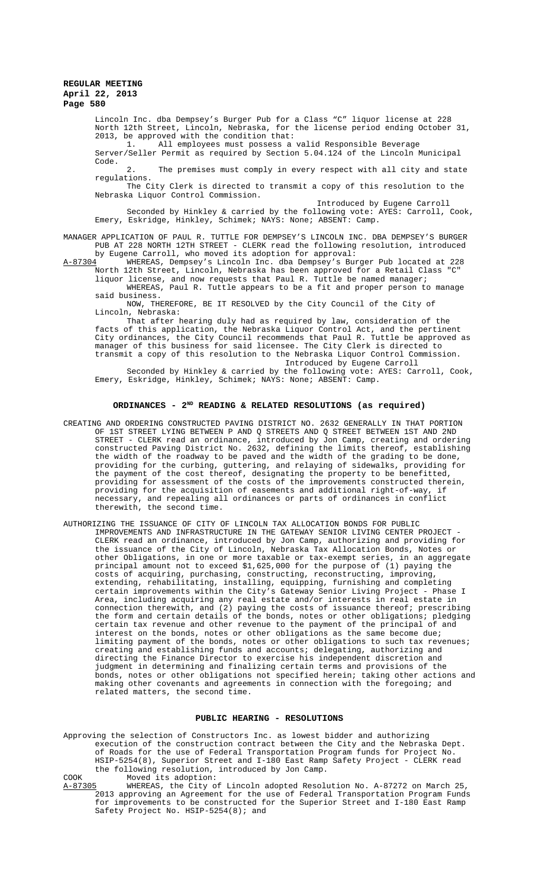> Lincoln Inc. dba Dempsey's Burger Pub for a Class "C" liquor license at 228 North 12th Street, Lincoln, Nebraska, for the license period ending October 31, 2013, be approved with the condition that:

1. All employees must possess a valid Responsible Beverage Server/Seller Permit as required by Section 5.04.124 of the Lincoln Municipal Code.

2. The premises must comply in every respect with all city and state regulations.

The City Clerk is directed to transmit a copy of this resolution to the Nebraska Liquor Control Commission. Introduced by Eugene Carroll

Seconded by Hinkley & carried by the following vote: AYES: Carroll, Cook, Emery, Eskridge, Hinkley, Schimek; NAYS: None; ABSENT: Camp.

MANAGER APPLICATION OF PAUL R. TUTTLE FOR DEMPSEY'S LINCOLN INC. DBA DEMPSEY'S BURGER PUB AT 228 NORTH 12TH STREET - CLERK read the following resolution, introduced by Eugene Carroll, who moved its adoption for approval:<br>A-87304 WHEREAS, Dempsey's Lincoln Inc. dba Dempsey's Bu

WHEREAS, Dempsey's Lincoln Inc. dba Dempsey's Burger Pub located at 228 North 12th Street, Lincoln, Nebraska has been approved for a Retail Class "C" liquor license, and now requests that Paul R. Tuttle be named manager;

WHEREAS, Paul R. Tuttle appears to be a fit and proper person to manage said business.

NOW, THEREFORE, BE IT RESOLVED by the City Council of the City of Lincoln, Nebraska:

That after hearing duly had as required by law, consideration of the facts of this application, the Nebraska Liquor Control Act, and the pertinent City ordinances, the City Council recommends that Paul R. Tuttle be approved as manager of this business for said licensee. The City Clerk is directed to transmit a copy of this resolution to the Nebraska Liquor Control Commission.

Introduced by Eugene Carroll

Seconded by Hinkley & carried by the following vote: AYES: Carroll, Cook, Emery, Eskridge, Hinkley, Schimek; NAYS: None; ABSENT: Camp.

### **ORDINANCES - 2ND READING & RELATED RESOLUTIONS (as required)**

- CREATING AND ORDERING CONSTRUCTED PAVING DISTRICT NO. 2632 GENERALLY IN THAT PORTION OF 1ST STREET LYING BETWEEN P AND Q STREETS AND Q STREET BETWEEN 1ST AND 2ND STREET - CLERK read an ordinance, introduced by Jon Camp, creating and ordering constructed Paving District No. 2632, defining the limits thereof, establishing the width of the roadway to be paved and the width of the grading to be done, providing for the curbing, guttering, and relaying of sidewalks, providing for the payment of the cost thereof, designating the property to be benefitted, providing for assessment of the costs of the improvements constructed therein, providing for the acquisition of easements and additional right-of-way, if necessary, and repealing all ordinances or parts of ordinances in conflict therewith, the second time.
- AUTHORIZING THE ISSUANCE OF CITY OF LINCOLN TAX ALLOCATION BONDS FOR PUBLIC IMPROVEMENTS AND INFRASTRUCTURE IN THE GATEWAY SENIOR LIVING CENTER PROJECT CLERK read an ordinance, introduced by Jon Camp, authorizing and providing for the issuance of the City of Lincoln, Nebraska Tax Allocation Bonds, Notes or other Obligations, in one or more taxable or tax-exempt series, in an aggregate principal amount not to exceed \$1,625,000 for the purpose of (1) paying the costs of acquiring, purchasing, constructing, reconstructing, improving, extending, rehabilitating, installing, equipping, furnishing and completing certain improvements within the City's Gateway Senior Living Project - Phase I Area, including acquiring any real estate and/or interests in real estate in connection therewith, and (2) paying the costs of issuance thereof; prescribing the form and certain details of the bonds, notes or other obligations; pledging certain tax revenue and other revenue to the payment of the principal of and interest on the bonds, notes or other obligations as the same become due; limiting payment of the bonds, notes or other obligations to such tax revenues; creating and establishing funds and accounts; delegating, authorizing and directing the Finance Director to exercise his independent discretion and judgment in determining and finalizing certain terms and provisions of the bonds, notes or other obligations not specified herein; taking other actions and making other covenants and agreements in connection with the foregoing; and related matters, the second time.

#### **PUBLIC HEARING - RESOLUTIONS**

Approving the selection of Constructors Inc. as lowest bidder and authorizing execution of the construction contract between the City and the Nebraska Dept. of Roads for the use of Federal Transportation Program funds for Project No. HSIP-5254(8), Superior Street and I-180 East Ramp Safety Project - CLERK read the following resolution, introduced by Jon Camp.

COOK Moved its adoption:<br>A-87305 WHEREAS, the City o WHEREAS, the City of Lincoln adopted Resolution No. A-87272 on March 25, 2013 approving an Agreement for the use of Federal Transportation Program Funds for improvements to be constructed for the Superior Street and I-180 East Ramp Safety Project No. HSIP-5254(8); and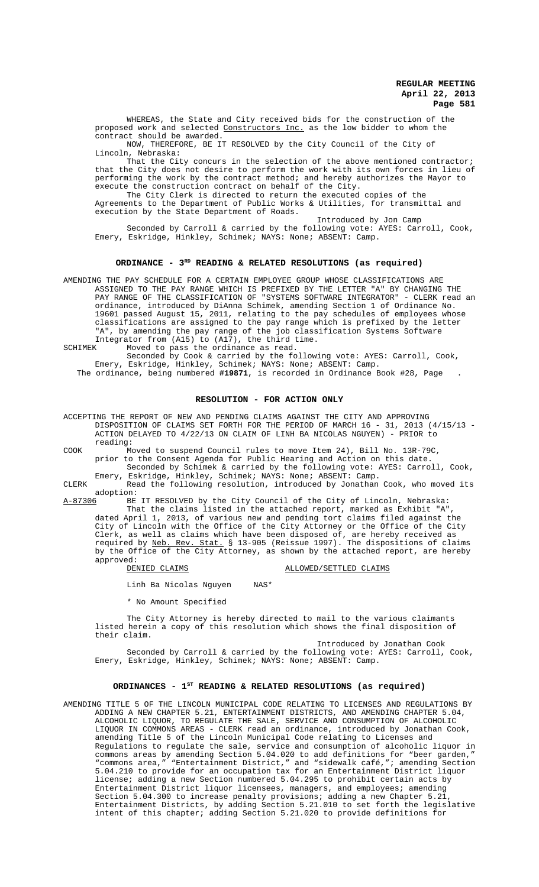WHEREAS, the State and City received bids for the construction of the proposed work and selected Constructors Inc. as the low bidder to whom the contract should be awarded.

NOW, THEREFORE, BE IT RESOLVED by the City Council of the City of Lincoln, Nebraska:

That the City concurs in the selection of the above mentioned contractor; that the City does not desire to perform the work with its own forces in lieu of performing the work by the contract method; and hereby authorizes the Mayor to execute the construction contract on behalf of the City.

The City Clerk is directed to return the executed copies of the Agreements to the Department of Public Works & Utilities, for transmittal and execution by the State Department of Roads.

Introduced by Jon Camp Seconded by Carroll & carried by the following vote: AYES: Carroll, Cook, Emery, Eskridge, Hinkley, Schimek; NAYS: None; ABSENT: Camp.

#### **ORDINANCE - 3RD READING & RELATED RESOLUTIONS (as required)**

AMENDING THE PAY SCHEDULE FOR A CERTAIN EMPLOYEE GROUP WHOSE CLASSIFICATIONS ARE ASSIGNED TO THE PAY RANGE WHICH IS PREFIXED BY THE LETTER "A" BY CHANGING THE PAY RANGE OF THE CLASSIFICATION OF "SYSTEMS SOFTWARE INTEGRATOR" - CLERK read an ordinance, introduced by DiAnna Schimek, amending Section 1 of Ordinance No. 19601 passed August 15, 2011, relating to the pay schedules of employees whose classifications are assigned to the pay range which is prefixed by the letter "A", by amending the pay range of the job classification Systems Software Integrator from (A15) to (A17), the third time.<br>SCHIMEK Moved to pass the ordinance as read.

Moved to pass the ordinance as read.

Seconded by Cook & carried by the following vote: AYES: Carroll, Cook, Emery, Eskridge, Hinkley, Schimek; NAYS: None; ABSENT: Camp. The ordinance, being numbered **#19871**, is recorded in Ordinance Book #28, Page .

### **RESOLUTION - FOR ACTION ONLY**

ACCEPTING THE REPORT OF NEW AND PENDING CLAIMS AGAINST THE CITY AND APPROVING DISPOSITION OF CLAIMS SET FORTH FOR THE PERIOD OF MARCH 16 - 31, 2013 (4/15/13 - ACTION DELAYED TO 4/22/13 ON CLAIM OF LINH BA NICOLAS NGUYEN) - PRIOR to reading:

COOK Moved to suspend Council rules to move Item 24), Bill No. 13R-79C, prior to the Consent Agenda for Public Hearing and Action on this date. Seconded by Schimek & carried by the following vote: AYES: Carroll, Cook, Emery, Eskridge, Hinkley, Schimek; NAYS: None; ABSENT: Camp.

CLERK Read the following resolution, introduced by Jonathan Cook, who moved its adoption:<br><u>A-87306</u> BE

A-87306 BE IT RESOLVED by the City Council of the City of Lincoln, Nebraska:

That the claims listed in the attached report, marked as Exhibit "A", dated April 1, 2013, of various new and pending tort claims filed against the City of Lincoln with the Office of the City Attorney or the Office of the City Clerk, as well as claims which have been disposed of, are hereby received as required by Neb. Rev. Stat. § 13-905 (Reissue 1997). The dispositions of claims by the Office of the City Attorney, as shown by the attached report, are hereby approved:

#### DENIED CLAIMS ALLOWED/SETTLED CLAIMS

Linh Ba Nicolas Nguyen NAS\*

\* No Amount Specified

The City Attorney is hereby directed to mail to the various claimants listed herein a copy of this resolution which shows the final disposition of their claim.

Introduced by Jonathan Cook Seconded by Carroll & carried by the following vote: AYES: Carroll, Cook, Emery, Eskridge, Hinkley, Schimek; NAYS: None; ABSENT: Camp.

### **ORDINANCES - 1ST READING & RELATED RESOLUTIONS (as required)**

AMENDING TITLE 5 OF THE LINCOLN MUNICIPAL CODE RELATING TO LICENSES AND REGULATIONS BY ADDING A NEW CHAPTER 5.21, ENTERTAINMENT DISTRICTS, AND AMENDING CHAPTER 5.04, ALCOHOLIC LIQUOR, TO REGULATE THE SALE, SERVICE AND CONSUMPTION OF ALCOHOLIC LIQUOR IN COMMONS AREAS - CLERK read an ordinance, introduced by Jonathan Cook, amending Title 5 of the Lincoln Municipal Code relating to Licenses and Regulations to regulate the sale, service and consumption of alcoholic liquor in commons areas by amending Section 5.04.020 to add definitions for "beer garden," "commons area," "Entertainment District," and "sidewalk café,"; amending Section 5.04.210 to provide for an occupation tax for an Entertainment District liquor license; adding a new Section numbered 5.04.295 to prohibit certain acts by Entertainment District liquor licensees, managers, and employees; amending Section 5.04.300 to increase penalty provisions; adding a new Chapter 5.21, Entertainment Districts, by adding Section 5.21.010 to set forth the legislative intent of this chapter; adding Section 5.21.020 to provide definitions for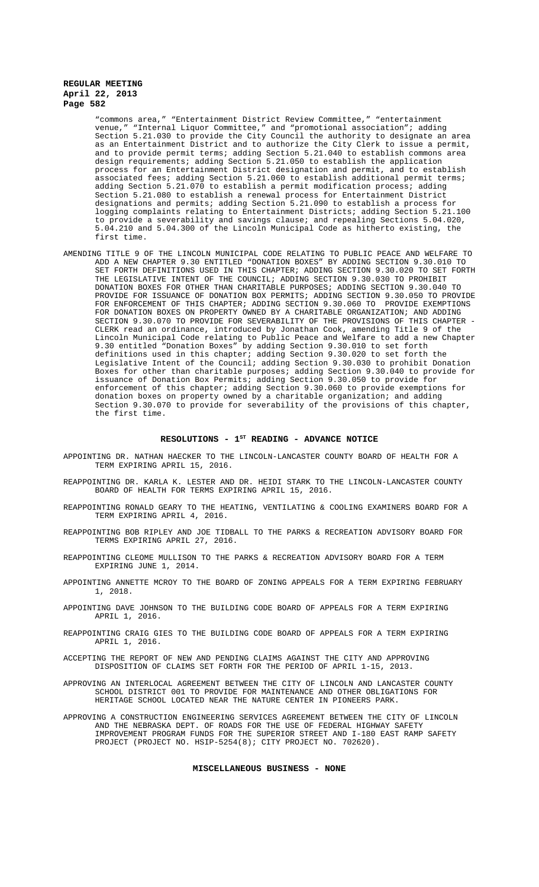"commons area," "Entertainment District Review Committee," "entertainment venue," "Internal Liquor Committee," and "promotional association"; adding Section 5.21.030 to provide the City Council the authority to designate an area as an Entertainment District and to authorize the City Clerk to issue a permit, and to provide permit terms; adding Section 5.21.040 to establish commons area design requirements; adding Section 5.21.050 to establish the application process for an Entertainment District designation and permit, and to establish associated fees; adding Section 5.21.060 to establish additional permit terms; adding Section 5.21.070 to establish a permit modification process; adding Section 5.21.080 to establish a renewal process for Entertainment District designations and permits; adding Section 5.21.090 to establish a process for logging complaints relating to Entertainment Districts; adding Section 5.21.100 to provide a severability and savings clause; and repealing Sections 5.04.020, 5.04.210 and 5.04.300 of the Lincoln Municipal Code as hitherto existing, the first time.

AMENDING TITLE 9 OF THE LINCOLN MUNICIPAL CODE RELATING TO PUBLIC PEACE AND WELFARE TO ADD A NEW CHAPTER 9.30 ENTITLED "DONATION BOXES" BY ADDING SECTION 9.30.010 TO SET FORTH DEFINITIONS USED IN THIS CHAPTER; ADDING SECTION 9.30.020 TO SET FORTH THE LEGISLATIVE INTENT OF THE COUNCIL; ADDING SECTION 9.30.030 TO PROHIBIT DONATION BOXES FOR OTHER THAN CHARITABLE PURPOSES; ADDING SECTION 9.30.040 TO PROVIDE FOR ISSUANCE OF DONATION BOX PERMITS; ADDING SECTION 9.30.050 TO PROVIDE FOR ENFORCEMENT OF THIS CHAPTER; ADDING SECTION 9.30.060 TO PROVIDE EXEMPTIONS FOR DONATION BOXES ON PROPERTY OWNED BY A CHARITABLE ORGANIZATION; AND ADDING SECTION 9.30.070 TO PROVIDE FOR SEVERABILITY OF THE PROVISIONS OF THIS CHAPTER - CLERK read an ordinance, introduced by Jonathan Cook, amending Title 9 of the Lincoln Municipal Code relating to Public Peace and Welfare to add a new Chapter 9.30 entitled "Donation Boxes" by adding Section 9.30.010 to set forth definitions used in this chapter; adding Section 9.30.020 to set forth the Legislative Intent of the Council; adding Section 9.30.030 to prohibit Donation Boxes for other than charitable purposes; adding Section 9.30.040 to provide for issuance of Donation Box Permits; adding Section 9.30.050 to provide for enforcement of this chapter; adding Section 9.30.060 to provide exemptions for donation boxes on property owned by a charitable organization; and adding Section 9.30.070 to provide for severability of the provisions of this chapter, the first time.

# RESOLUTIONS -  $1^{ST}$  READING - ADVANCE NOTICE

- APPOINTING DR. NATHAN HAECKER TO THE LINCOLN-LANCASTER COUNTY BOARD OF HEALTH FOR A TERM EXPIRING APRIL 15, 2016.
- REAPPOINTING DR. KARLA K. LESTER AND DR. HEIDI STARK TO THE LINCOLN-LANCASTER COUNTY BOARD OF HEALTH FOR TERMS EXPIRING APRIL 15, 2016.
- REAPPOINTING RONALD GEARY TO THE HEATING, VENTILATING & COOLING EXAMINERS BOARD FOR A TERM EXPIRING APRIL 4, 2016.
- REAPPOINTING BOB RIPLEY AND JOE TIDBALL TO THE PARKS & RECREATION ADVISORY BOARD FOR TERMS EXPIRING APRIL 27, 2016.
- REAPPOINTING CLEOME MULLISON TO THE PARKS & RECREATION ADVISORY BOARD FOR A TERM EXPIRING JUNE 1, 2014.
- APPOINTING ANNETTE MCROY TO THE BOARD OF ZONING APPEALS FOR A TERM EXPIRING FEBRUARY 1, 2018.
- APPOINTING DAVE JOHNSON TO THE BUILDING CODE BOARD OF APPEALS FOR A TERM EXPIRING APRIL 1, 2016.
- REAPPOINTING CRAIG GIES TO THE BUILDING CODE BOARD OF APPEALS FOR A TERM EXPIRING APRIL 1, 2016.
- ACCEPTING THE REPORT OF NEW AND PENDING CLAIMS AGAINST THE CITY AND APPROVING DISPOSITION OF CLAIMS SET FORTH FOR THE PERIOD OF APRIL 1-15, 2013.

APPROVING AN INTERLOCAL AGREEMENT BETWEEN THE CITY OF LINCOLN AND LANCASTER COUNTY SCHOOL DISTRICT 001 TO PROVIDE FOR MAINTENANCE AND OTHER OBLIGATIONS FOR HERITAGE SCHOOL LOCATED NEAR THE NATURE CENTER IN PIONEERS PARK.

APPROVING A CONSTRUCTION ENGINEERING SERVICES AGREEMENT BETWEEN THE CITY OF LINCOLN AND THE NEBRASKA DEPT. OF ROADS FOR THE USE OF FEDERAL HIGHWAY SAFETY IMPROVEMENT PROGRAM FUNDS FOR THE SUPERIOR STREET AND I-180 EAST RAMP SAFETY PROJECT (PROJECT NO. HSIP-5254(8); CITY PROJECT NO. 702620).

#### **MISCELLANEOUS BUSINESS - NONE**